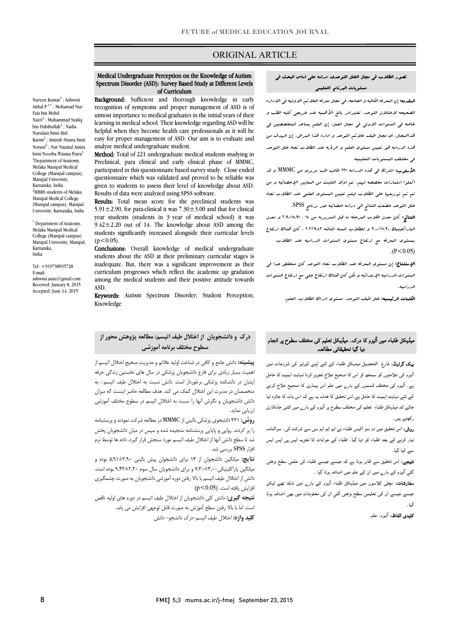## ORIGINAL ARTICLE

#### Spectrum Disorder (ASD): Survey Based Study at Different Levels Medical Undergraduate Perception on the Knowledge of Autism of Curriculum

i

Naveen $\operatorname{Kumar}^1$  ; Ashwini Aithal  $P^{1,*}$ ; Mohamad Nur Faiz bin Mohd Nazri2 ; Muhammad Syafiq bin Habibullah<sup>2</sup>; Nadia Nurulain binti Abd Karim2 ; Amirah Husna binti Norani<sup>2</sup> ; Nur Nazatul Amira binti Noorha Wasma Putra<sup>2</sup> <sup>1</sup>Department of Anatomy, Melaka Manipal Medical College (Manipal campus), Manipal University, Karnataka, India 2 MBBS students of Melaka Manipal Medical College (Manipal campus), Manipal University, Karnataka, India

\* Department of Anatomy, Melaka Manipal Medical College (Manipal campus) Manipal University, Manipal, Karnataka, India

Tel: +919738935728 E-mail: ashwini.anat@gmail.com

Received: January 8, 2015 Accepted: June 14, 2015

Background: Sufficient and thorough knowledge in early utmost importance to medical graduates in the initial years of their learning in medical school. Their knowledge regarding ASD will be easy for proper management of ASD. Our aim is to evaluate and recognition of symptoms and proper management of ASD is of helpful when they become health care professionals as it will be analyze medical undergraduate student.

 Method: Total of 221 undergraduate medical students studying in participated in this questionnaire based survey study. Close ended questionnaire which was validated and proved to be reliable was Results of data were analyzed using SPSS software. Preclinical, para clinical and early clinical phase of MMMC, given to students to assess their level of knowledge about ASD.

Results: Total mean score for the preclinical students was 5.91 $\pm$ 2.90, for para-clinical it was 7.30 $\pm$ 3.00 and that for clinical  $9.42 \pm 2.20$  out of 14. The knowledge about ASD among the students significantly increased alongside their curricular levels year students (students in  $3$  vear of medical school) it was  $(p<0.05)$ .

(p < 0.05).<br>**Conclusions:** Overall knowledge of medical undergraduate students about the ASD at their preliminary curricular stages is inadequate. But, there was a significant improvement as their among the medical students and their positive attitude towards curriculum progresses which reflect the academic up gradation ASD.

**Keywords:** Autism Spectrum Disorder; Student Perception; Knowledge

## درك و دانشجویان از اختلال طیف اتیسم: مطالعه پژوهش محور از ֚֓ سطوح مختلف برنامه آموزشی

 پیشینه: دانش جامع و کافی در شناخت اولیه علائم و مدیریت صحیح اختلال اتیسم از اهمیت بسیار زیادي براي فارغ دانشجویان پزشکی در سال هاي نخستین زندگی حرفه یسن در مستعد پرستی بر توردار است. دامش مسبب به احدین حیث اینسی به<br>متخصصان در مدیرت این اختلال کمک می کند. هدف مطالعه حاضر اینست که میزان دانش دانشجویان و نگرش آنها را نسبت به اختلال اتیسم در سطوح مختلف آموزشی ایشان در دانشکده پزشکی برخوردار است. دانش نسبت به اختلال طیف اتیسم◌ٰ به ارزیابی نماید.

 روش: 221 دانشجوي پزشکی بالینی از MMMC در مطالعه شرکت نمودند و پرسشنامه را پر کردند. روایی و پایایی پرسشنامه سنجیده شده و سپس در میان دانشجویان پخش شد تا سطح دانش آنها از اختلال طیف اتیسم مورد سنجش قرار گیرد. داده ها توسط نرم افزار SPSS بررسی شد.

 نتایج: میانگین دانشجوان از 14 براي دانشجوان پیش بالینی 5,91±2,90 بوده و بیانش پر اختیسی سوم ۱۳۰۲ و برای دانشجویان سال شوم ۱۳۰۰٬۰۰۰٬۰۰۰ بوت است.<br>دانش از اختلال طیف اتیسم با بالا رفتن دوره آموزشی دانشجویان به صورت چشمگیری افزایش یافته است. (0.05>p( میانگین پاراکلینیکی7,30±3,00 و براي دانشجویان سال سوم 9,42±2,20 بوده است.

.<br>ن**تیجه گیری:** دانش کلی دانشجویان از اختلال طیف اتیسم در دوره های اولیه ناقص است. اما با بالا رفتن سطح آموزش به صورت قابل توجهی افزایش می یابد. **کلید واژه:** اختلال طیف اتیسم–درک دانشجو– دانش

## تصور الطلاب فی مجال الخلل التوحدي، دراسه علی اساس البحث فی مستویات البرنامج التعلیمی

Ī

 المقدمه: إن المعرفه الکافیه و الجامعه. فی مجال معرفه العلائم الاولیه فی الاداره الصحیحه لاختلال التوحد، تعتبرامر بالغ الأهمیه عند خریجی کلیه الطب و خاصه فی السنوات الاولی فی مجال العمل. إن العلم یساعد المتخصصین فی هذاالمجال، اي مجال طیف علائم التوحد و اداره هذا المرض. إن الهدف من هذه الدراسه هو تعیین مستوي العلم و الرؤیه عند الطلاب تجاه خلل التوحد فی مختلف المستویات التعلیمیه.

 الأسلوب: اشترك فی هذه الدراسه 221 طالب طب سریري من MMMC و قد اکملوا استمارات مخصصه لهم. تم اولا التثبت من المعاییر الإحصائیه و من ثم تم توزیعها علی الطلاب لیتم تعیین المستوي العلمی عند الطلاب تجاه خلل التوحد خضعت النتائج الی دراسه احصائیه عبر برنامج SPSS.

 النتائج: کان معدل طلاب المرحله ما قبل السریریه من 14 ، 2,90±5,91 و معدل الباراکلینیک 3,00±7,30 و للطلاب السنه الثالثه 2,2±9,42 ، کان هناك ارتفاع بمستوي المعرفه مع ارتفاع مستوي السنوات الدراسیه عند الطلاب  $(P < 0.05)$ 

 الإستنتاج: إن مستوي المعرفه عند الطلاب تجاه التوجد کان منخفض جدا فی السنوات الدراسیه الإبتدائیه و لکن کان هناك ارتفاع جلی مع ارتفاع السنوات الدراسیه.

الکلمات الرئیسیه: خلل طیف التوحد، مستوي ادراك الطلاب، العلم.

### میڈیکل طلباء میں آئیزم کا درک۔ میڈیکل تعلیم کی مختلف سطوح پر انجام دیا گیا تحقیقاتی مطالعہ

**یپک گراونڈ:** فارغ التحصیل میدیکل طلباء کے لئے اپنے کیرئیر کی شروعات میں أثيزم کی علامتوں کو سمجھ کر اس کا صحيح علاج تجويز کرنا نہايت اہميت کا حامل ے۔ آٹیزم کی مختلف قسموں کے بارے میں علم اس بیماری کا صحیح علاج کرنے کے لئے نہایت اہمیت کا حامل ہے۔اس تحقیق کا ھدف یہ ہے کہ اس بات کا جائزہ لیا جائے کہ میڈیکل طلباء تعلیم کی مختلف سطوح پر آٹیزم کے بار<sub>ے</sub> میں کتنی جانکاری کھتے ہیں۔

**روش:** اس تحقیق میں دو سو اکیس طلباء نے ایم ایم ایم سی سے شرکت کی۔ سوالنامہ نیار کرنے کے بعد طلباء کو دیا گیا۔ طلباء کے جوابات کا تجزیہ ایس پی ایس ایس سے کیا گیا۔

ن**تیجے:** اس تحقیق سے ظاہر ہوتا ہے کہ جیسے جیسے طلباء کی علمی سطح بڑھتی گئي آڻيزم کے بار<sub>ے</sub> ميں ان کے علم ميں اضافہ ہوتا گيا ۔

**سفارشات:** نچلی کلاسوں میں میڈیکل طلباء آئیزم کے بار<sub>ے</sub> میں نابلد تھے لیکن جیسے جیسے ان کی تعلیمی سطح بڑھتی گئي ان کی معلومات میں بھی اضافہ ہوتا گیا۔

**کلیدی الفاظ:** آثیزم، علم.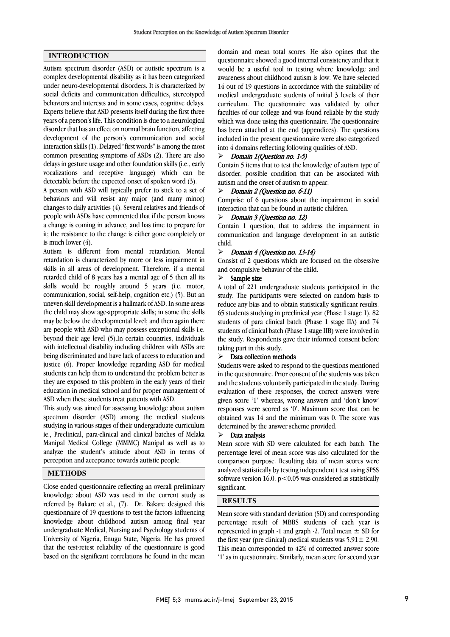## INTRODUCTION

Autism spectrum disorder (ASD) or autistic spectrum is a complex developmental disability as it has been categorized under neuro-developmental disorders. It is characterized by social deficits and communication difficulties, stereotyped behaviors and interests and in some cases, cognitive delays. Experts believe that ASD presents itself during the first three years of a person's life. This condition is due to a neurological disorder that has an effect on normal brain function, affecting development of the person's communication and social interaction skills (1). Delayed "first words" is among the most common presenting symptoms of ASDs (2). There are also delays in gesture usage and other foundation skills (i.e., early vocalizations and receptive language) which can be detectable before the expected onset of spoken word (3).

A person with ASD will typically prefer to stick to a set of behaviors and will resist any major (and many minor) changes to daily activities (4). Several relatives and friends of people with ASDs have commented that if the person knows a change is coming in advance, and has time to prepare for it; the resistance to the change is either gone completely or is much lower  $(4)$ .

Autism is different from mental retardation. Mental retardation is characterized by more or less impairment in skills in all areas of development. Therefore, if a mental retarded child of 8 years has a mental age of 5 then all its skills would be roughly around 5 years (i.e. motor, communication, social, self-help, cognition etc.) (5). But an uneven skill development is a hallmark of ASD. In some areas the child may show age-appropriate skills; in some the skills may be below the developmental level; and then again there are people with ASD who may possess exceptional skills i.e. beyond their age level (5).In certain countries, individuals with intellectual disability including children with ASDs are being discriminated and have lack of access to education and justice (6). Proper knowledge regarding ASD for medical students can help them to understand the problem better as they are exposed to this problem in the early years of their education in medical school and for proper management of ASD when these students treat patients with ASD.

This study was aimed for assessing knowledge about autism spectrum disorder (ASD) among the medical students studying in various stages of their undergraduate curriculum ie., Preclinical, para-clinical and clinical batches of Melaka Manipal Medical College (MMMC) Manipal as well as to analyze the student's attitude about ASD in terms of perception and acceptance towards autistic people.

#### METHODS

Close ended questionnaire reflecting an overall preliminary knowledge about ASD was used in the current study as referred by Bakare et al., (7). Dr. Bakare designed this questionnaire of 19 questions to test the factors influencing knowledge about childhood autism among final year undergraduate Medical, Nursing and Psychology students of University of Nigeria, Enugu State, Nigeria. He has proved that the test-retest reliability of the questionnaire is good based on the significant correlations he found in the mean

 domain and mean total scores. He also opines that the questionnaire showed a good internal consistency and that it would be a useful tool in testing where knowledge and awareness about childhood autism is low. We have selected medical undergraduate students of initial 3 levels of their curriculum. The questionnaire was validated by other faculties of our college and was found reliable by the study which was done using this questionnaire. The questionnaire included in the present questionnaire were also categorized into 4 domains reflecting following qualities of ASD. 14 out of 19 questions in accordance with the suitability of has been attached at the end (appendices). The questions

### $\triangleright$  Domain 1(Question no. 1-5)

 Contain 5 items that to test the knowledge of autism type of autism and the onset of autism to appear. disorder, possible condition that can be associated with

## $\triangleright$  Domain 2 (Question no. 6-11)

 Comprise of 6 questions about the impairment in social interaction that can be found in autistic children.

### $\triangleright$  Domain 3 (Question no. 12)

 Contain 1 question, that to address the impairment in communication and language development in an autistic child.

## Domain 4 (Question no. 13-14)

 and compulsive behavior of the child. Consist of 2 questions which are focused on the obsessive

### $>$  Sample size

 A total of 221 undergraduate students participated in the study. The participants were selected on random basis to reduce any bias and to obtain statistically significant results. 65 students studying in preclinical year (Phase 1 stage 1), 82 students of para clinical batch (Phase 1 stage IIA) and 74 students of clinical batch (Phase 1 stage IIB) were involved in the study. Respondents gave their informed consent before study. The participants were selected on random basis to taking part in this study.

# $\triangleright$  Data collection methods

 Students were asked to respond to the questions mentioned in the questionnaire. Prior consent of the students was taken and the students voluntarily participated in the study. During given score '1' whereas, wrong answers and 'don't know' responses were scored as '0'. Maximum score that can be obtained was 14 and the minimum was 0. The score was determined by the answer scheme provided. evaluation of these responses, the correct answers were

## $\triangleright$  Data analysis

 Mean score with SD were calculated for each batch. The percentage level of mean score was also calculated for the comparison purpose. Resulting data of mean scores were analyzed statistically by testing independent t test using SPSS significant. software version 16.0.  $p < 0.05$  was considered as statistically

## **RESULTS**  $\overline{a}$

 Mean score with standard deviation (SD) and corresponding represented in graph -1 and graph -2. Total mean  $\pm$  SD for the first year (pre clinical) medical students was  $5.91 \pm 2.90$ . This mean corresponded to 42% of corrected answer score '1' as in questionnaire. Similarly, mean score for second year percentage result of MBBS students of each year is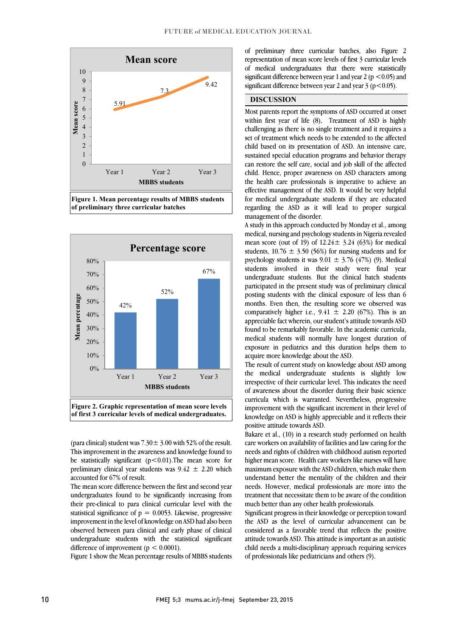

 Figure 1. Mean percentage results of MBBS students  $\overline{a}$ of preliminary three curricular batches



of first 3 curricular levels of medical undergraduates.

(para clinical) student was  $7.30 \pm 3.00$  with 52% of the result. This improvement in the awareness and knowledge found to be statistically significant (p<0.01).The mean score for preliminary clinical year students was  $9.42 \pm 2.20$  which accounted for 67% of result.

 The mean score difference between the first and second year undergraduates found to be significantly increasing from their pre-clinical to para clinical curricular level with the improvement in the level of knowledge on ASD had also been observed between para clinical and early phase of clinical undergraduate students with the statistical significant statistical significance of  $p = 0.0053$ . Likewise, progressive difference of improvement ( $p < 0.0001$ ).

Figure 1 show the Mean percentage results of MBBS students

 of preliminary three curricular batches, also Figure 2 representation of mean score levels of first 3 curricular levels of medical undergraduates that there were statistically significant difference between year 2 and year 2 ( $p < 0.05$ ). ֦ significant difference between year 1 and year 2 ( $p \le 0.05$ ) and

֦

## DISCUSSION

 Most parents report the symptoms of ASD occurred at onset challenging as there is no single treatment and it requires a set of treatment which needs to be extended to the affected child based on its presentation of ASD. An intensive care, sustained special education programs and behavior therapy can restore the sen eare, social and job skin of the ancetted<br>child. Hence, proper awareness on ASD characters among the health care professionals is imperative to achieve an effective management of the ASD. It would be very helpful for medical undergraduate students if they are educated regarding the ASD as it will lead to proper surgical within first year of life (8). Treatment of ASD is highly can restore the self care, social and job skill of the affected management of the disorder.

 A study in this approach conducted by Monday et al., among medical, nursing and psychology students in Nigeria revealed mean score (out of 19) of  $12.24 \pm 3.24$  (63%) for medical psychology students it was  $9.01 \pm 3.76$  (47%) (9). Medical students involved in their study were final year undergraduate students. But the clinical batch students participated in the present study was of preliminary clinical posure statems with the emilical exposure of less than of months. Even then, the resulting score we observed was comparatively higher i.e.,  $9.41 \pm 2.20$  (67%). This is an appreciable fact wherein, our student's attitude towards ASD found to be remarkably favorable. In the academic curricula, exposure in pediatrics and this duration helps them to students,  $10.76 \pm 3.50$  (56%) for nursing students and for posting students with the clinical exposure of less than 6 medical students will normally have longest duration of acquire more knowledge about the ASD.

 The result of current study on knowledge about ASD among the medical undergraduate students is slightly low of awareness about the disorder during their basic science curricula which is warranted. Nevertheless, progressive improvement with the significant increment in their level of knowledge on ASD is highly appreciable and it reflects their irrespective of their curricular level. This indicates the need positive attitude towards ASD.

 Bakare et al., (10) in a research study performed on health care workers on availability of facilities and law caring for the needs and rights of children with childhood autism reported higher mean score. Health care workers like nurses will have maximum exposure with the not emitter, which make them<br>understand better the mentality of the children and their needs. However, medical professionals are more into the treatment that necessitate them to be aware of the condition maximum exposure with the ASD children, which make them much better than any other health professionals.

 the ASD as the level of curricular advancement can be considered as a favorable trend that reflects the positive attitude towards ASD. This attitude is important as an autistic child needs a multi-disciplinary approach requiring services of professionals like pediatricians and others (9). Significant progress in their knowledge or perception toward